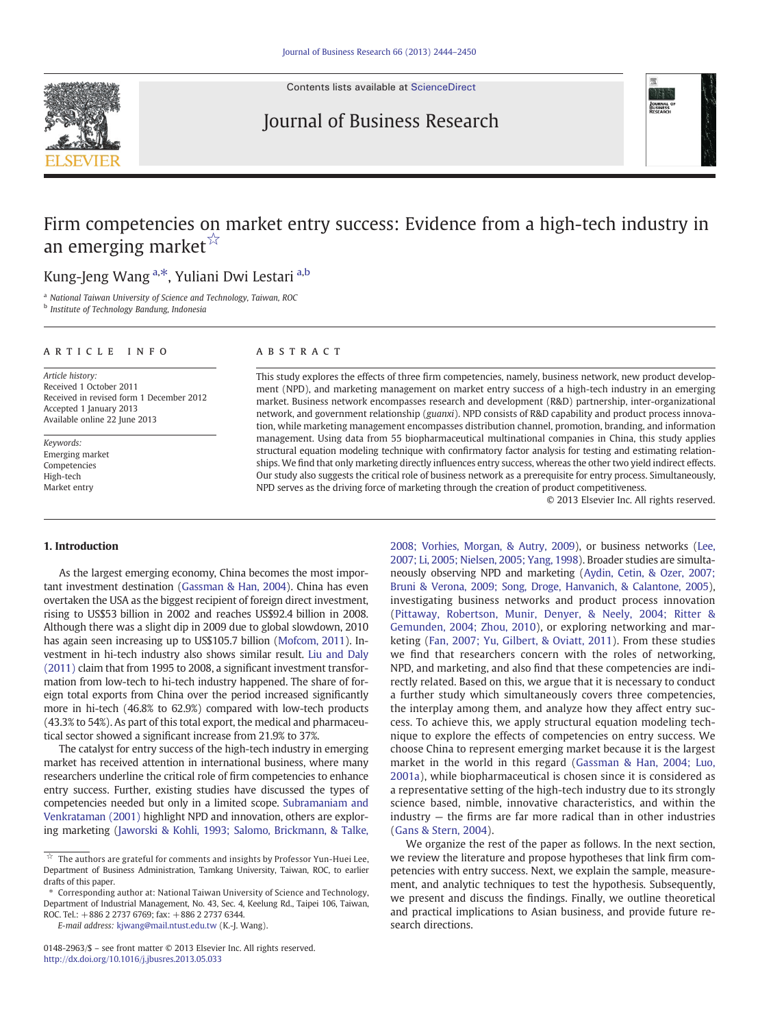

Contents lists available at [ScienceDirect](http://www.sciencedirect.com/science/journal/01482963)

# Journal of Business Research



# Firm competencies on market entry success: Evidence from a high-tech industry in an emerging market $\mathbb{X}$

## Kung-Jeng Wang <sup>a,\*</sup>, Yuliani Dwi Lestari <sup>a,b</sup>

<sup>a</sup> National Taiwan University of Science and Technology, Taiwan, ROC

**b** Institute of Technology Bandung, Indonesia

#### ARTICLE INFO ABSTRACT

Article history: Received 1 October 2011 Received in revised form 1 December 2012 Accepted 1 January 2013 Available online 22 June 2013

Keywords: Emerging market Competencies High-tech Market entry

This study explores the effects of three firm competencies, namely, business network, new product development (NPD), and marketing management on market entry success of a high-tech industry in an emerging market. Business network encompasses research and development (R&D) partnership, inter-organizational network, and government relationship (guanxi). NPD consists of R&D capability and product process innovation, while marketing management encompasses distribution channel, promotion, branding, and information management. Using data from 55 biopharmaceutical multinational companies in China, this study applies structural equation modeling technique with confirmatory factor analysis for testing and estimating relationships. We find that only marketing directly influences entry success, whereas the other two yield indirect effects. Our study also suggests the critical role of business network as a prerequisite for entry process. Simultaneously, NPD serves as the driving force of marketing through the creation of product competitiveness.

© 2013 Elsevier Inc. All rights reserved.

#### 1. Introduction

As the largest emerging economy, China becomes the most important investment destination ([Gassman & Han, 2004](#page--1-0)). China has even overtaken the USA as the biggest recipient of foreign direct investment, rising to US\$53 billion in 2002 and reaches US\$92.4 billion in 2008. Although there was a slight dip in 2009 due to global slowdown, 2010 has again seen increasing up to US\$105.7 billion [\(Mofcom, 2011\)](#page--1-0). Investment in hi-tech industry also shows similar result. [Liu and Daly](#page--1-0) [\(2011\)](#page--1-0) claim that from 1995 to 2008, a significant investment transformation from low-tech to hi-tech industry happened. The share of foreign total exports from China over the period increased significantly more in hi-tech (46.8% to 62.9%) compared with low-tech products (43.3% to 54%). As part of this total export, the medical and pharmaceutical sector showed a significant increase from 21.9% to 37%.

The catalyst for entry success of the high-tech industry in emerging market has received attention in international business, where many researchers underline the critical role of firm competencies to enhance entry success. Further, existing studies have discussed the types of competencies needed but only in a limited scope. [Subramaniam and](#page--1-0) [Venkrataman \(2001\)](#page--1-0) highlight NPD and innovation, others are exploring marketing [\(Jaworski & Kohli, 1993; Salomo, Brickmann, & Talke,](#page--1-0)

⁎ Corresponding author at: National Taiwan University of Science and Technology, Department of Industrial Management, No. 43, Sec. 4, Keelung Rd., Taipei 106, Taiwan, ROC. Tel.: +886 2 2737 6769; fax: +886 2 2737 6344.

E-mail address: [kjwang@mail.ntust.edu.tw](mailto:kjwang@mail.ntust.edu.tw) (K.-J. Wang).

[2008; Vorhies, Morgan, & Autry, 2009](#page--1-0)), or business networks [\(Lee,](#page--1-0) [2007; Li, 2005; Nielsen, 2005; Yang, 1998\)](#page--1-0). Broader studies are simultaneously observing NPD and marketing [\(Aydin, Cetin, & Ozer, 2007;](#page--1-0) [Bruni & Verona, 2009; Song, Droge, Hanvanich, & Calantone, 2005\)](#page--1-0), investigating business networks and product process innovation [\(Pittaway, Robertson, Munir, Denyer, & Neely, 2004; Ritter &](#page--1-0) [Gemunden, 2004; Zhou, 2010](#page--1-0)), or exploring networking and marketing ([Fan, 2007; Yu, Gilbert, & Oviatt, 2011](#page--1-0)). From these studies we find that researchers concern with the roles of networking, NPD, and marketing, and also find that these competencies are indirectly related. Based on this, we argue that it is necessary to conduct a further study which simultaneously covers three competencies, the interplay among them, and analyze how they affect entry success. To achieve this, we apply structural equation modeling technique to explore the effects of competencies on entry success. We choose China to represent emerging market because it is the largest market in the world in this regard [\(Gassman & Han, 2004; Luo,](#page--1-0) [2001a](#page--1-0)), while biopharmaceutical is chosen since it is considered as a representative setting of the high-tech industry due to its strongly science based, nimble, innovative characteristics, and within the industry — the firms are far more radical than in other industries [\(Gans & Stern, 2004](#page--1-0)).

We organize the rest of the paper as follows. In the next section, we review the literature and propose hypotheses that link firm competencies with entry success. Next, we explain the sample, measurement, and analytic techniques to test the hypothesis. Subsequently, we present and discuss the findings. Finally, we outline theoretical and practical implications to Asian business, and provide future research directions.

 $\boldsymbol{\vec{x}}$  The authors are grateful for comments and insights by Professor Yun-Huei Lee, Department of Business Administration, Tamkang University, Taiwan, ROC, to earlier drafts of this paper.

<sup>0148-2963/\$</sup> – see front matter © 2013 Elsevier Inc. All rights reserved. <http://dx.doi.org/10.1016/j.jbusres.2013.05.033>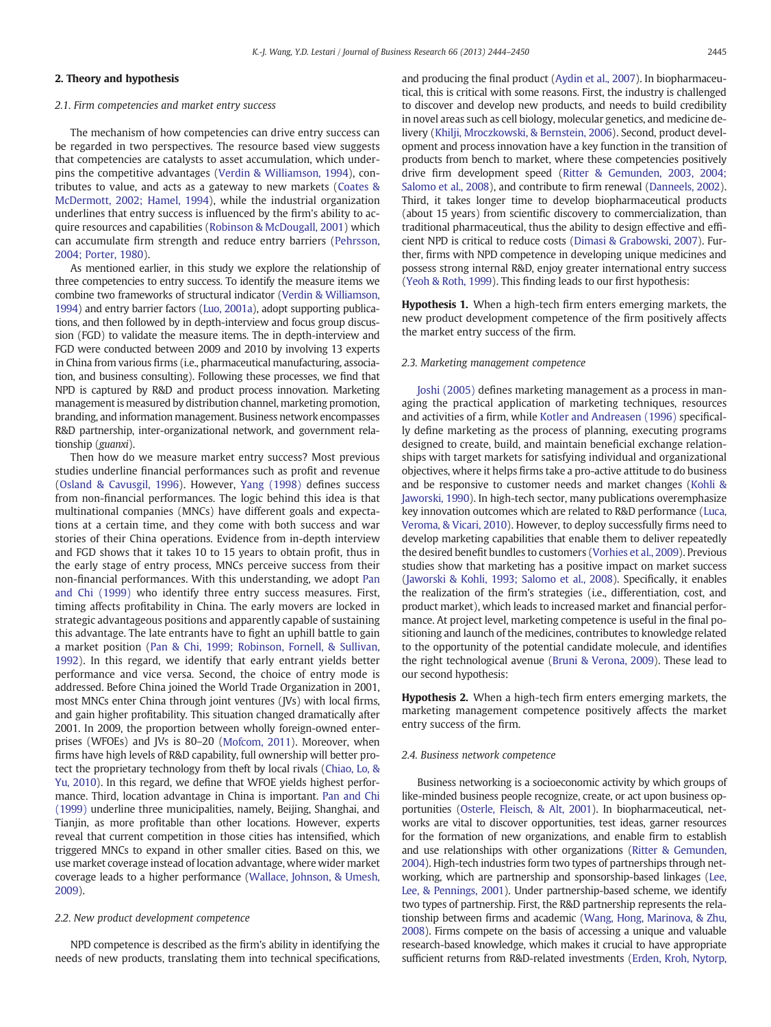### 2. Theory and hypothesis

#### 2.1. Firm competencies and market entry success

The mechanism of how competencies can drive entry success can be regarded in two perspectives. The resource based view suggests that competencies are catalysts to asset accumulation, which underpins the competitive advantages ([Verdin & Williamson, 1994](#page--1-0)), contributes to value, and acts as a gateway to new markets [\(Coates &](#page--1-0) [McDermott, 2002; Hamel, 1994](#page--1-0)), while the industrial organization underlines that entry success is influenced by the firm's ability to acquire resources and capabilities ([Robinson & McDougall, 2001\)](#page--1-0) which can accumulate firm strength and reduce entry barriers ([Pehrsson,](#page--1-0) [2004; Porter, 1980\)](#page--1-0).

As mentioned earlier, in this study we explore the relationship of three competencies to entry success. To identify the measure items we combine two frameworks of structural indicator [\(Verdin & Williamson,](#page--1-0) [1994](#page--1-0)) and entry barrier factors [\(Luo, 2001a\)](#page--1-0), adopt supporting publications, and then followed by in depth-interview and focus group discussion (FGD) to validate the measure items. The in depth-interview and FGD were conducted between 2009 and 2010 by involving 13 experts in China from various firms (i.e., pharmaceutical manufacturing, association, and business consulting). Following these processes, we find that NPD is captured by R&D and product process innovation. Marketing management is measured by distribution channel, marketing promotion, branding, and information management. Business network encompasses R&D partnership, inter-organizational network, and government relationship (guanxi).

Then how do we measure market entry success? Most previous studies underline financial performances such as profit and revenue [\(Osland & Cavusgil, 1996](#page--1-0)). However, [Yang \(1998\)](#page--1-0) defines success from non-financial performances. The logic behind this idea is that multinational companies (MNCs) have different goals and expectations at a certain time, and they come with both success and war stories of their China operations. Evidence from in-depth interview and FGD shows that it takes 10 to 15 years to obtain profit, thus in the early stage of entry process, MNCs perceive success from their non-financial performances. With this understanding, we adopt [Pan](#page--1-0) [and Chi \(1999\)](#page--1-0) who identify three entry success measures. First, timing affects profitability in China. The early movers are locked in strategic advantageous positions and apparently capable of sustaining this advantage. The late entrants have to fight an uphill battle to gain a market position [\(Pan & Chi, 1999; Robinson, Fornell, & Sullivan,](#page--1-0) [1992\)](#page--1-0). In this regard, we identify that early entrant yields better performance and vice versa. Second, the choice of entry mode is addressed. Before China joined the World Trade Organization in 2001, most MNCs enter China through joint ventures (JVs) with local firms, and gain higher profitability. This situation changed dramatically after 2001. In 2009, the proportion between wholly foreign-owned enterprises (WFOEs) and JVs is 80–20 [\(Mofcom, 2011\)](#page--1-0). Moreover, when firms have high levels of R&D capability, full ownership will better protect the proprietary technology from theft by local rivals [\(Chiao, Lo, &](#page--1-0) [Yu, 2010](#page--1-0)). In this regard, we define that WFOE yields highest performance. Third, location advantage in China is important. [Pan and Chi](#page--1-0) [\(1999\)](#page--1-0) underline three municipalities, namely, Beijing, Shanghai, and Tianjin, as more profitable than other locations. However, experts reveal that current competition in those cities has intensified, which triggered MNCs to expand in other smaller cities. Based on this, we use market coverage instead of location advantage, where wider market coverage leads to a higher performance ([Wallace, Johnson, & Umesh,](#page--1-0) [2009](#page--1-0)).

#### 2.2. New product development competence

NPD competence is described as the firm's ability in identifying the needs of new products, translating them into technical specifications, and producing the final product [\(Aydin et al., 2007\)](#page--1-0). In biopharmaceutical, this is critical with some reasons. First, the industry is challenged to discover and develop new products, and needs to build credibility in novel areas such as cell biology, molecular genetics, and medicine delivery [\(Khilji, Mroczkowski, & Bernstein, 2006\)](#page--1-0). Second, product development and process innovation have a key function in the transition of products from bench to market, where these competencies positively drive firm development speed [\(Ritter & Gemunden, 2003, 2004;](#page--1-0) [Salomo et al., 2008](#page--1-0)), and contribute to firm renewal ([Danneels, 2002](#page--1-0)). Third, it takes longer time to develop biopharmaceutical products (about 15 years) from scientific discovery to commercialization, than traditional pharmaceutical, thus the ability to design effective and efficient NPD is critical to reduce costs ([Dimasi & Grabowski, 2007\)](#page--1-0). Further, firms with NPD competence in developing unique medicines and possess strong internal R&D, enjoy greater international entry success [\(Yeoh & Roth, 1999](#page--1-0)). This finding leads to our first hypothesis:

Hypothesis 1. When a high-tech firm enters emerging markets, the new product development competence of the firm positively affects the market entry success of the firm.

#### 2.3. Marketing management competence

[Joshi \(2005\)](#page--1-0) defines marketing management as a process in managing the practical application of marketing techniques, resources and activities of a firm, while [Kotler and Andreasen \(1996\)](#page--1-0) specifically define marketing as the process of planning, executing programs designed to create, build, and maintain beneficial exchange relationships with target markets for satisfying individual and organizational objectives, where it helps firms take a pro-active attitude to do business and be responsive to customer needs and market changes [\(Kohli &](#page--1-0) [Jaworski, 1990\)](#page--1-0). In high-tech sector, many publications overemphasize key innovation outcomes which are related to R&D performance ([Luca,](#page--1-0) [Veroma, & Vicari, 2010\)](#page--1-0). However, to deploy successfully firms need to develop marketing capabilities that enable them to deliver repeatedly the desired benefit bundles to customers [\(Vorhies et al., 2009](#page--1-0)). Previous studies show that marketing has a positive impact on market success [\(Jaworski & Kohli, 1993; Salomo et al., 2008](#page--1-0)). Specifically, it enables the realization of the firm's strategies (i.e., differentiation, cost, and product market), which leads to increased market and financial performance. At project level, marketing competence is useful in the final positioning and launch of the medicines, contributes to knowledge related to the opportunity of the potential candidate molecule, and identifies the right technological avenue [\(Bruni & Verona, 2009](#page--1-0)). These lead to our second hypothesis:

Hypothesis 2. When a high-tech firm enters emerging markets, the marketing management competence positively affects the market entry success of the firm.

#### 2.4. Business network competence

Business networking is a socioeconomic activity by which groups of like-minded business people recognize, create, or act upon business opportunities [\(Osterle, Fleisch, & Alt, 2001](#page--1-0)). In biopharmaceutical, networks are vital to discover opportunities, test ideas, garner resources for the formation of new organizations, and enable firm to establish and use relationships with other organizations ([Ritter & Gemunden,](#page--1-0) [2004](#page--1-0)). High-tech industries form two types of partnerships through networking, which are partnership and sponsorship-based linkages [\(Lee,](#page--1-0) [Lee, & Pennings, 2001\)](#page--1-0). Under partnership-based scheme, we identify two types of partnership. First, the R&D partnership represents the relationship between firms and academic [\(Wang, Hong, Marinova, & Zhu,](#page--1-0) [2008](#page--1-0)). Firms compete on the basis of accessing a unique and valuable research-based knowledge, which makes it crucial to have appropriate sufficient returns from R&D-related investments ([Erden, Kroh, Nytorp,](#page--1-0)